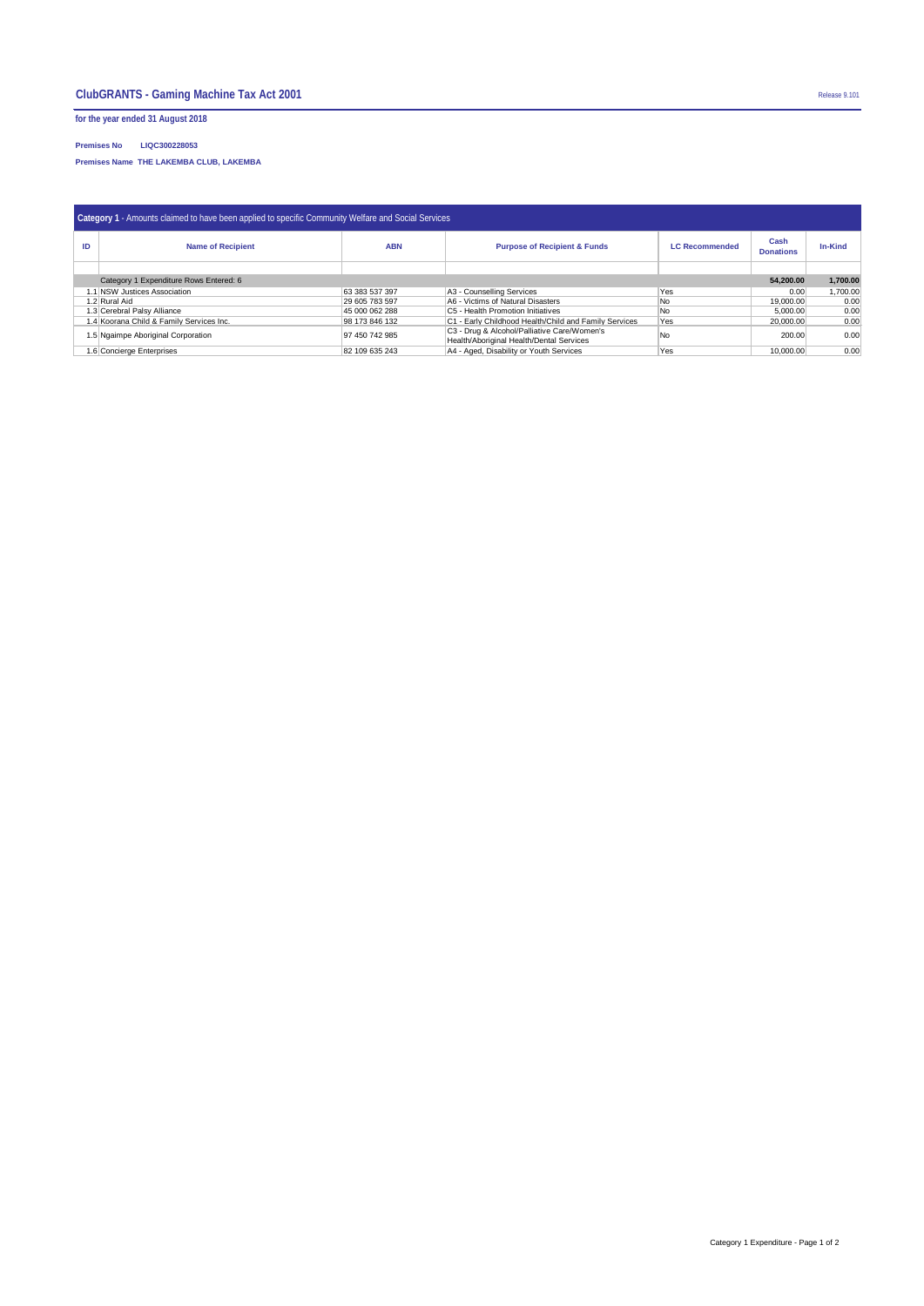**for the year ended 31 August 2018**

**Premises No LIQC300228053**

**Premises Name THE LAKEMBA CLUB, LAKEMBA** 

| Category 1 - Amounts claimed to have been applied to specific Community Welfare and Social Services |                                          |                |                                                                                         |                       |                          |                |  |  |  |  |
|-----------------------------------------------------------------------------------------------------|------------------------------------------|----------------|-----------------------------------------------------------------------------------------|-----------------------|--------------------------|----------------|--|--|--|--|
| ID                                                                                                  | <b>Name of Recipient</b>                 | <b>ABN</b>     | <b>Purpose of Recipient &amp; Funds</b>                                                 | <b>LC Recommended</b> | Cash<br><b>Donations</b> | <b>In-Kind</b> |  |  |  |  |
|                                                                                                     |                                          |                |                                                                                         |                       |                          |                |  |  |  |  |
| Category 1 Expenditure Rows Entered: 6                                                              |                                          |                |                                                                                         |                       |                          | 1,700.00       |  |  |  |  |
|                                                                                                     | 1.1 NSW Justices Association             | 63 383 537 397 | A3 - Counselling Services                                                               | `Yes                  | 0.00                     | 1,700.00       |  |  |  |  |
| 1.2 Rural Aid                                                                                       |                                          | 29 605 783 597 | A6 - Victims of Natural Disasters                                                       | No                    | 19,000.00                | 0.00           |  |  |  |  |
| 1.3 Cerebral Palsy Alliance                                                                         |                                          | 45 000 062 288 | C5 - Health Promotion Initiatives                                                       | No.                   | 5,000.00                 | 0.00           |  |  |  |  |
|                                                                                                     | 1.4 Koorana Child & Family Services Inc. | 98 173 846 132 | C1 - Early Childhood Health/Child and Family Services                                   | Yes                   | 20,000.00                | 0.00           |  |  |  |  |
|                                                                                                     | 1.5 Ngaimpe Aboriginal Corporation       | 97 450 742 985 | C3 - Drug & Alcohol/Palliative Care/Women's<br>Health/Aboriginal Health/Dental Services | No                    | 200.00                   | 0.00           |  |  |  |  |
| 1.6 Concierge Enterprises                                                                           |                                          | 82 109 635 243 | A4 - Aged, Disability or Youth Services                                                 | Yes                   | 10.000.00                | 0.00           |  |  |  |  |

Category 1 Expenditure - Page 1 of 2